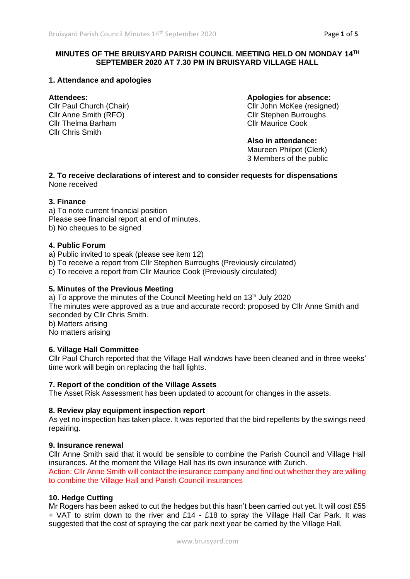# **MINUTES OF THE BRUISYARD PARISH COUNCIL MEETING HELD ON MONDAY 14TH SEPTEMBER 2020 AT 7.30 PM IN BRUISYARD VILLAGE HALL**

# **1. Attendance and apologies**

Cllr Anne Smith (RFO) Cllr Stephen Burroughs Cllr Thelma Barham Cllr Maurice Cook Cllr Chris Smith

**Attendees: Apologies for absence:**

Cllr Paul Church (Chair) Cllr John McKee (resigned)

**Also in attendance:** Maureen Philpot (Clerk)

3 Members of the public

**2. To receive declarations of interest and to consider requests for dispensations** None received

# **3. Finance**

a) To note current financial position Please see financial report at end of minutes. b) No cheques to be signed

# **4. Public Forum**

a) Public invited to speak (please see item 12)

b) To receive a report from Cllr Stephen Burroughs (Previously circulated)

c) To receive a report from Cllr Maurice Cook (Previously circulated)

### **5. Minutes of the Previous Meeting**

a) To approve the minutes of the Council Meeting held on  $13<sup>th</sup>$  July 2020 The minutes were approved as a true and accurate record: proposed by Cllr Anne Smith and seconded by Cllr Chris Smith. b) Matters arising

No matters arising

# **6. Village Hall Committee**

Cllr Paul Church reported that the Village Hall windows have been cleaned and in three weeks' time work will begin on replacing the hall lights.

#### **7. Report of the condition of the Village Assets**

The Asset Risk Assessment has been updated to account for changes in the assets.

#### **8. Review play equipment inspection report**

As yet no inspection has taken place. It was reported that the bird repellents by the swings need repairing.

#### **9. Insurance renewal**

Cllr Anne Smith said that it would be sensible to combine the Parish Council and Village Hall insurances. At the moment the Village Hall has its own insurance with Zurich. Action: Cllr Anne Smith will contact the insurance company and find out whether they are willing to combine the Village Hall and Parish Council insurances

# **10. Hedge Cutting**

Mr Rogers has been asked to cut the hedges but this hasn't been carried out yet. It will cost £55 + VAT to strim down to the river and £14 - £18 to spray the Village Hall Car Park. It was suggested that the cost of spraying the car park next year be carried by the Village Hall.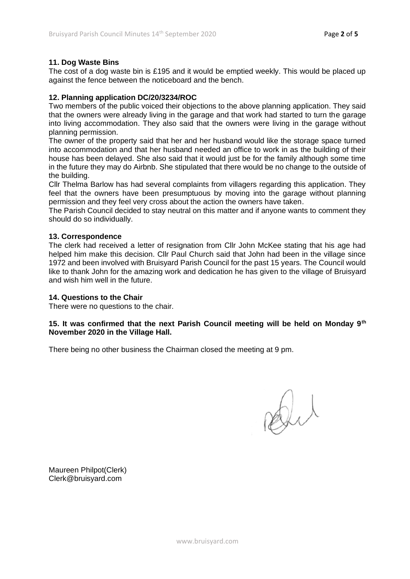# **11. Dog Waste Bins**

The cost of a dog waste bin is £195 and it would be emptied weekly. This would be placed up against the fence between the noticeboard and the bench.

# **12. Planning application DC/20/3234/ROC**

Two members of the public voiced their objections to the above planning application. They said that the owners were already living in the garage and that work had started to turn the garage into living accommodation. They also said that the owners were living in the garage without planning permission.

The owner of the property said that her and her husband would like the storage space turned into accommodation and that her husband needed an office to work in as the building of their house has been delayed. She also said that it would just be for the family although some time in the future they may do Airbnb. She stipulated that there would be no change to the outside of the building.

Cllr Thelma Barlow has had several complaints from villagers regarding this application. They feel that the owners have been presumptuous by moving into the garage without planning permission and they feel very cross about the action the owners have taken.

The Parish Council decided to stay neutral on this matter and if anyone wants to comment they should do so individually.

#### **13. Correspondence**

The clerk had received a letter of resignation from Cllr John McKee stating that his age had helped him make this decision. Cllr Paul Church said that John had been in the village since 1972 and been involved with Bruisyard Parish Council for the past 15 years. The Council would like to thank John for the amazing work and dedication he has given to the village of Bruisyard and wish him well in the future.

#### **14. Questions to the Chair**

There were no questions to the chair.

# **15. It was confirmed that the next Parish Council meeting will be held on Monday 9th November 2020 in the Village Hall.**

There being no other business the Chairman closed the meeting at 9 pm.

Dut

Maureen Philpot(Clerk) Clerk@bruisyard.com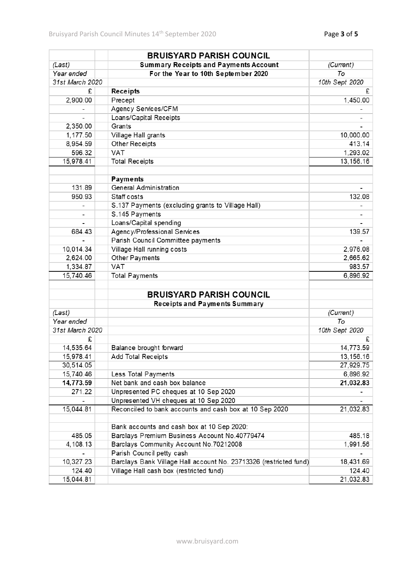|                 | <b>BRUISYARD PARISH COUNCIL</b>                                   |                |  |
|-----------------|-------------------------------------------------------------------|----------------|--|
| (Last)          | (Current)                                                         |                |  |
| Year ended      | For the Year to 10th September 2020                               | To             |  |
| 31st March 2020 |                                                                   | 10th Sept 2020 |  |
| £               | Receipts                                                          | £              |  |
| 2,900.00        | Precept                                                           | 1,450.00       |  |
|                 | Agency Services/CFM                                               |                |  |
|                 | Loans/Capital Receipts                                            |                |  |
| 2,350.00        | Grants                                                            |                |  |
| 1,177.50        | Village Hall grants                                               | 10,000.00      |  |
| 8,954.59        | Other Receipts                                                    | 413.14         |  |
| 596.32          | <b>VAT</b>                                                        | 1,293.02       |  |
| 15,978.41       | <b>Total Receipts</b>                                             | 13,156.16      |  |
|                 |                                                                   |                |  |
|                 | Payments                                                          |                |  |
| 131.89          | <b>General Administration</b>                                     |                |  |
| 950.93          | Staff costs                                                       | 132.08         |  |
| -               | S.137 Payments (excluding grants to Village Hall)                 |                |  |
| $\overline{a}$  | S.145 Payments                                                    |                |  |
|                 | Loans/Capital spending                                            |                |  |
| 684.43          | Agency/Professional Services                                      | 139.57         |  |
|                 | Parish Council Committee payments                                 |                |  |
| 10,014.34       | Village Hall running costs                                        | 2,976.08       |  |
| 2,624.00        | Other Payments                                                    | 2,665.62       |  |
| 1,334.87        | <b>VAT</b>                                                        | 983.57         |  |
| 15,740.46       |                                                                   |                |  |
|                 | <b>Total Payments</b>                                             | 6,896.92       |  |
|                 | <b>BRUISYARD PARISH COUNCIL</b>                                   |                |  |
|                 | <b>Receipts and Payments Summary</b>                              |                |  |
| (Last)          |                                                                   | (Current)      |  |
| Year ended      |                                                                   | To             |  |
| 31st March 2020 |                                                                   | 10th Sept 2020 |  |
| £               |                                                                   | £              |  |
| 14,535.64       | Balance brought forward                                           | 14,773.59      |  |
| 15,978.41       | Add Total Receipts                                                | 13,156.16      |  |
| 30,514.05       |                                                                   | 27,929.75      |  |
| 15,740.46       | Less Total Payments                                               | 6,896.92       |  |
| 14,773.59       | Net bank and cash box balance                                     | 21,032.83      |  |
| 271.22          | Unpresented PC cheques at 10 Sep 2020                             |                |  |
|                 | Unpresented VH cheques at 10 Sep 2020                             |                |  |
| 15,044.81       | Reconciled to bank accounts and cash box at 10 Sep 2020           | 21,032.83      |  |
|                 |                                                                   |                |  |
|                 | Bank accounts and cash box at 10 Sep 2020:                        |                |  |
| 485.05          | Barclays Premium Business Account No.40779474                     | 485.18         |  |
| 4, 108. 13      | Barclays Community Account No.70212008                            | 1,991.56       |  |
|                 | Parish Council petty cash                                         |                |  |
| 10,327.23       | Barclays Bank Village Hall account No. 23713326 (restricted fund) | 18,431.69      |  |
| 124.40          | Village Hall cash box (restricted fund)                           | 124.40         |  |
| 15,044.81       |                                                                   | 21,032.83      |  |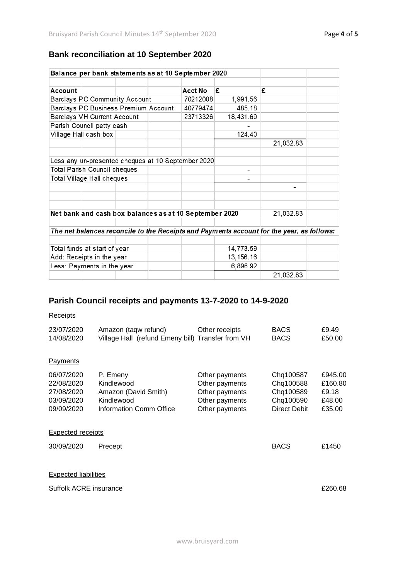# **Bank reconciliation at 10 September 2020**

| Balance per bank statements as at 10 September 2020                                       |                                      |  |  |                                                    |           |           |  |
|-------------------------------------------------------------------------------------------|--------------------------------------|--|--|----------------------------------------------------|-----------|-----------|--|
|                                                                                           |                                      |  |  |                                                    |           |           |  |
| Account                                                                                   |                                      |  |  | Acct No                                            | £         | £         |  |
|                                                                                           | <b>Barclays PC Community Account</b> |  |  | 70212008                                           | 1,991.56  |           |  |
|                                                                                           | Barclays PC Business Premium Account |  |  | 40779474                                           | 485.18    |           |  |
|                                                                                           | Barclays VH Current Account          |  |  | 23713326                                           | 18,431.69 |           |  |
| Parish Council petty cash                                                                 |                                      |  |  |                                                    |           |           |  |
| Village Hall cash box                                                                     |                                      |  |  | 124.40                                             |           |           |  |
|                                                                                           |                                      |  |  |                                                    |           | 21,032.83 |  |
|                                                                                           |                                      |  |  |                                                    |           |           |  |
|                                                                                           |                                      |  |  | Less any un-presented cheques at 10 September 2020 |           |           |  |
|                                                                                           | Total Parish Council cheques         |  |  |                                                    |           |           |  |
| Total Village Hall cheques                                                                |                                      |  |  |                                                    |           |           |  |
|                                                                                           |                                      |  |  |                                                    |           |           |  |
|                                                                                           |                                      |  |  |                                                    |           |           |  |
|                                                                                           |                                      |  |  |                                                    |           |           |  |
| Net bank and cash box balances as at 10 September 2020                                    |                                      |  |  |                                                    |           | 21,032.83 |  |
|                                                                                           |                                      |  |  |                                                    |           |           |  |
| The net balances reconcile to the Receipts and Payments account for the year, as follows: |                                      |  |  |                                                    |           |           |  |
|                                                                                           |                                      |  |  |                                                    |           |           |  |
| Total funds at start of year                                                              |                                      |  |  | 14,773.59                                          |           |           |  |
| Add: Receipts in the year                                                                 |                                      |  |  | 13, 156. 16                                        |           |           |  |
| Less: Payments in the year                                                                |                                      |  |  |                                                    | 6,896.92  |           |  |
|                                                                                           |                                      |  |  |                                                    |           | 21,032.83 |  |

# **Parish Council receipts and payments 13-7-2020 to 14-9-2020**

# **Receipts**

| 23/07/2020<br>14/08/2020                                           | Amazon (taqw refund)<br>Village Hall (refund Emeny bill) Transfer from VH               | Other receipts                                                                         | <b>BACS</b><br><b>BACS</b>                                       | £9.49<br>£50.00                                 |  |  |  |
|--------------------------------------------------------------------|-----------------------------------------------------------------------------------------|----------------------------------------------------------------------------------------|------------------------------------------------------------------|-------------------------------------------------|--|--|--|
| Payments                                                           |                                                                                         |                                                                                        |                                                                  |                                                 |  |  |  |
| 06/07/2020<br>22/08/2020<br>27/08/2020<br>03/09/2020<br>09/09/2020 | P. Emeny<br>Kindlewood<br>Amazon (David Smith)<br>Kindlewood<br>Information Comm Office | Other payments<br>Other payments<br>Other payments<br>Other payments<br>Other payments | Chq100587<br>Chq100588<br>Chq100589<br>Chq100590<br>Direct Debit | £945.00<br>£160.80<br>£9.18<br>£48.00<br>£35.00 |  |  |  |
| <b>Expected receipts</b>                                           |                                                                                         |                                                                                        |                                                                  |                                                 |  |  |  |
| 30/09/2020                                                         | Precept                                                                                 |                                                                                        | <b>BACS</b>                                                      | £1450                                           |  |  |  |
| <b>Expected liabilities</b>                                        |                                                                                         |                                                                                        |                                                                  |                                                 |  |  |  |
| Suffolk ACRE insurance                                             |                                                                                         |                                                                                        |                                                                  |                                                 |  |  |  |